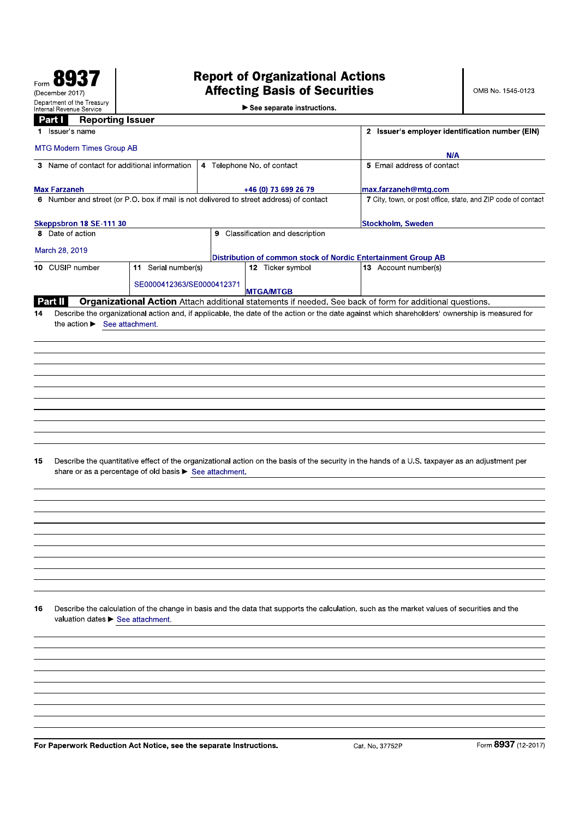# **Report of Organizational Actions<br>Affecting Basis of Securities**

|    | Internal Revenue Service | Department of the Treasury |                                                                    |  | See separate instructions.                                                              |                                                                                                                                                 |                     |
|----|--------------------------|----------------------------|--------------------------------------------------------------------|--|-----------------------------------------------------------------------------------------|-------------------------------------------------------------------------------------------------------------------------------------------------|---------------------|
|    | <b>Part I</b>            |                            | <b>Reporting Issuer</b>                                            |  |                                                                                         |                                                                                                                                                 |                     |
|    | 1 <b>Issuer</b> s name   |                            |                                                                    |  |                                                                                         | 2 Issuer's employer identification number (EIN)                                                                                                 |                     |
|    |                          | MTG Modern Times Group AB  |                                                                    |  |                                                                                         | N/A                                                                                                                                             |                     |
|    |                          |                            | 3 Name of contact for additional information                       |  | 4 Telephone No. of contact                                                              | 5 Email address of contact                                                                                                                      |                     |
|    |                          |                            |                                                                    |  |                                                                                         |                                                                                                                                                 |                     |
|    | <b>Max Farzaneh</b>      |                            |                                                                    |  | +46 (0) 73 699 26 79                                                                    | max.farzaneh@mtg.com                                                                                                                            |                     |
|    |                          |                            |                                                                    |  | 6 Number and street (or P.O. box if mail is not delivered to street address) of contact | 7 City, town, or post office, state, and ZIP code of contact                                                                                    |                     |
|    |                          | Skeppsbron 18 SE-111 30    |                                                                    |  |                                                                                         | Stockholm, Sweden                                                                                                                               |                     |
|    | 8 Date of action         |                            |                                                                    |  | 9 Classification and description                                                        |                                                                                                                                                 |                     |
|    | March 28, 2019           |                            |                                                                    |  |                                                                                         |                                                                                                                                                 |                     |
|    | 10 CUSIP number          |                            | 11 Serial number(s)                                                |  | 12 Ticker symbol                                                                        | Distribution of common stock of Nordic Entertainment Group AB<br>13 Account number(s)                                                           |                     |
|    |                          |                            |                                                                    |  |                                                                                         |                                                                                                                                                 |                     |
|    |                          |                            | SE0000412363/SE0000412371                                          |  | <b>MTGA/MTGB</b>                                                                        |                                                                                                                                                 |                     |
|    | Part II                  |                            |                                                                    |  |                                                                                         | Organizational Action Attach additional statements if needed. See back of form for additional questions.                                        |                     |
| 14 |                          |                            | the action $\blacktriangleright$ See attachment.                   |  |                                                                                         | Describe the organizational action and, if applicable, the date of the action or the date against which shareholders' ownership is measured for |                     |
|    |                          |                            |                                                                    |  |                                                                                         |                                                                                                                                                 |                     |
|    |                          |                            |                                                                    |  |                                                                                         |                                                                                                                                                 |                     |
|    |                          |                            |                                                                    |  |                                                                                         |                                                                                                                                                 |                     |
|    |                          |                            |                                                                    |  |                                                                                         |                                                                                                                                                 |                     |
|    |                          |                            |                                                                    |  |                                                                                         |                                                                                                                                                 |                     |
|    |                          |                            |                                                                    |  |                                                                                         |                                                                                                                                                 |                     |
|    |                          |                            |                                                                    |  |                                                                                         |                                                                                                                                                 |                     |
|    |                          |                            |                                                                    |  |                                                                                         |                                                                                                                                                 |                     |
|    |                          |                            |                                                                    |  |                                                                                         |                                                                                                                                                 |                     |
| 15 |                          |                            | share or as a percentage of old basis > See attachment.            |  |                                                                                         | Describe the quantitative effect of the organizational action on the basis of the security in the hands of a U.S. taxpayer as an adjustment per |                     |
|    |                          |                            |                                                                    |  |                                                                                         |                                                                                                                                                 |                     |
|    |                          |                            |                                                                    |  |                                                                                         |                                                                                                                                                 |                     |
|    |                          |                            |                                                                    |  |                                                                                         |                                                                                                                                                 |                     |
|    |                          |                            |                                                                    |  |                                                                                         |                                                                                                                                                 |                     |
|    |                          |                            |                                                                    |  |                                                                                         |                                                                                                                                                 |                     |
|    |                          |                            |                                                                    |  |                                                                                         |                                                                                                                                                 |                     |
|    |                          |                            |                                                                    |  |                                                                                         |                                                                                                                                                 |                     |
|    |                          |                            |                                                                    |  |                                                                                         |                                                                                                                                                 |                     |
|    |                          |                            |                                                                    |  |                                                                                         |                                                                                                                                                 |                     |
| 16 |                          |                            | valuation dates > See attachment.                                  |  |                                                                                         | Describe the calculation of the change in basis and the data that supports the calculation, such as the market values of securities and the     |                     |
|    |                          |                            |                                                                    |  |                                                                                         |                                                                                                                                                 |                     |
|    |                          |                            |                                                                    |  |                                                                                         |                                                                                                                                                 |                     |
|    |                          |                            |                                                                    |  |                                                                                         |                                                                                                                                                 |                     |
|    |                          |                            |                                                                    |  |                                                                                         |                                                                                                                                                 |                     |
|    |                          |                            |                                                                    |  |                                                                                         |                                                                                                                                                 |                     |
|    |                          |                            |                                                                    |  |                                                                                         |                                                                                                                                                 |                     |
|    |                          |                            |                                                                    |  |                                                                                         |                                                                                                                                                 |                     |
|    |                          |                            |                                                                    |  |                                                                                         |                                                                                                                                                 |                     |
|    |                          |                            | For Paperwork Reduction Act Notice, see the separate Instructions. |  |                                                                                         | Cat No 37752P                                                                                                                                   | Form 8937 (12-2017) |

or Paperwork Reduction Act Notice, see the separate Instructions.

Form 8937 (12-2017)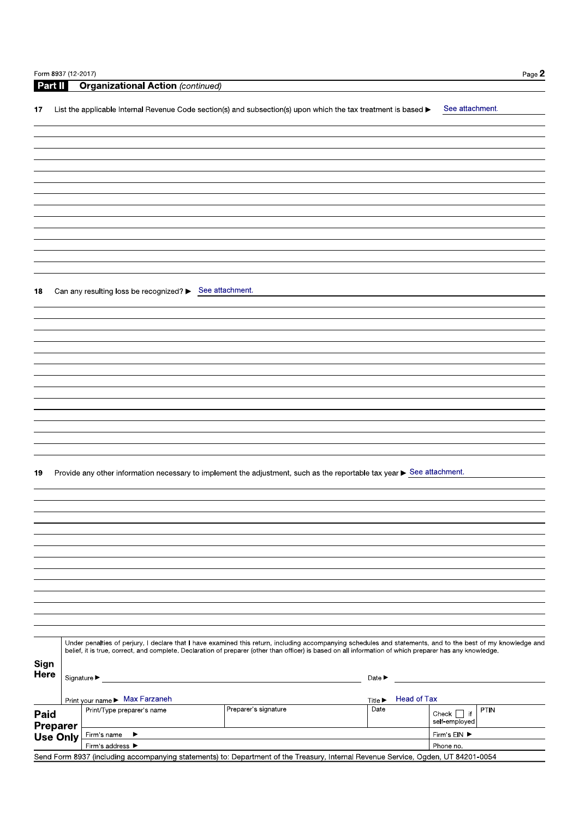| Part II         |                 | <b>Organizational Action (continued)</b>                                                                                                                     |                                                                                           |                            |                    |                          |
|-----------------|-----------------|--------------------------------------------------------------------------------------------------------------------------------------------------------------|-------------------------------------------------------------------------------------------|----------------------------|--------------------|--------------------------|
|                 |                 |                                                                                                                                                              |                                                                                           |                            |                    |                          |
| 17              |                 | List the applicable Internal Revenue Code section(s) and subsection(s) upon which the tax treatment is based ▶                                               |                                                                                           |                            |                    | See attachment.          |
|                 |                 |                                                                                                                                                              |                                                                                           |                            |                    |                          |
|                 |                 |                                                                                                                                                              |                                                                                           |                            |                    |                          |
|                 |                 |                                                                                                                                                              |                                                                                           |                            |                    |                          |
|                 |                 |                                                                                                                                                              |                                                                                           |                            |                    |                          |
|                 |                 |                                                                                                                                                              |                                                                                           |                            |                    |                          |
|                 |                 |                                                                                                                                                              |                                                                                           |                            |                    |                          |
|                 |                 |                                                                                                                                                              |                                                                                           |                            |                    |                          |
|                 |                 |                                                                                                                                                              |                                                                                           |                            |                    |                          |
|                 |                 |                                                                                                                                                              |                                                                                           |                            |                    |                          |
|                 |                 |                                                                                                                                                              |                                                                                           |                            |                    |                          |
|                 |                 |                                                                                                                                                              |                                                                                           |                            |                    |                          |
|                 |                 |                                                                                                                                                              |                                                                                           |                            |                    |                          |
|                 |                 |                                                                                                                                                              |                                                                                           |                            |                    |                          |
| 18              |                 | Can any resulting loss be recognized? ▶ See attachment.                                                                                                      |                                                                                           |                            |                    |                          |
|                 |                 |                                                                                                                                                              |                                                                                           |                            |                    |                          |
|                 |                 |                                                                                                                                                              |                                                                                           |                            |                    |                          |
|                 |                 |                                                                                                                                                              |                                                                                           |                            |                    |                          |
|                 |                 |                                                                                                                                                              |                                                                                           |                            |                    |                          |
|                 |                 |                                                                                                                                                              |                                                                                           |                            |                    |                          |
|                 |                 |                                                                                                                                                              |                                                                                           |                            |                    |                          |
|                 |                 |                                                                                                                                                              |                                                                                           |                            |                    |                          |
|                 |                 |                                                                                                                                                              |                                                                                           |                            |                    |                          |
|                 |                 |                                                                                                                                                              |                                                                                           |                            |                    |                          |
|                 |                 |                                                                                                                                                              |                                                                                           |                            |                    |                          |
|                 |                 |                                                                                                                                                              |                                                                                           |                            |                    |                          |
|                 |                 |                                                                                                                                                              |                                                                                           |                            |                    |                          |
|                 |                 |                                                                                                                                                              |                                                                                           |                            |                    |                          |
| 19              |                 | Provide any other information necessary to implement the adjustment, such as the reportable tax year ▶ See attachment.                                       |                                                                                           |                            |                    |                          |
|                 |                 |                                                                                                                                                              |                                                                                           |                            |                    |                          |
|                 |                 |                                                                                                                                                              |                                                                                           |                            |                    |                          |
|                 |                 |                                                                                                                                                              |                                                                                           |                            |                    |                          |
|                 |                 |                                                                                                                                                              |                                                                                           |                            |                    |                          |
|                 |                 |                                                                                                                                                              |                                                                                           |                            |                    |                          |
|                 |                 |                                                                                                                                                              |                                                                                           |                            |                    |                          |
|                 |                 |                                                                                                                                                              |                                                                                           |                            |                    |                          |
|                 |                 |                                                                                                                                                              |                                                                                           |                            |                    |                          |
|                 |                 |                                                                                                                                                              |                                                                                           |                            |                    |                          |
|                 |                 |                                                                                                                                                              |                                                                                           |                            |                    |                          |
|                 |                 |                                                                                                                                                              |                                                                                           |                            |                    |                          |
|                 |                 |                                                                                                                                                              |                                                                                           |                            |                    |                          |
|                 |                 |                                                                                                                                                              |                                                                                           |                            |                    |                          |
|                 |                 | Under penalties of perjury, I declare that I have examined this return, including accompanying schedules and statements, and to the best of my knowledge and |                                                                                           |                            |                    |                          |
|                 |                 | belief, it is true, correct, and complete. Declaration of preparer (other than officer) is based on all information of which preparer has any knowledge.     |                                                                                           |                            |                    |                          |
| Sign            |                 |                                                                                                                                                              |                                                                                           |                            |                    |                          |
| Here            |                 | Signature ▶                                                                                                                                                  | the control of the control of the control of the control of the control of the control of | Date $\blacktriangleright$ |                    |                          |
|                 |                 |                                                                                                                                                              |                                                                                           |                            |                    |                          |
|                 |                 | Print your name > Max Farzaneh                                                                                                                               |                                                                                           | <b>Title ▶</b>             | <b>Head of Tax</b> |                          |
| Paid            |                 | Print/Type preparer's name                                                                                                                                   | Preparer's signature                                                                      | Date                       |                    | PTIN<br>Check $ $ $ $ if |
| <b>Preparer</b> |                 |                                                                                                                                                              |                                                                                           |                            |                    | self-employed            |
|                 | <b>Use Only</b> | Firm's name<br>▶                                                                                                                                             |                                                                                           |                            |                    | Firm's ElN ▶             |
|                 |                 | Firm's address ▶<br>Send Form 8937 (including accompanying statements) to: Department of the Treasury, Internal Revenue Service, Ogden, UT 84201-0054        |                                                                                           |                            |                    | Phone no.                |
|                 |                 |                                                                                                                                                              |                                                                                           |                            |                    |                          |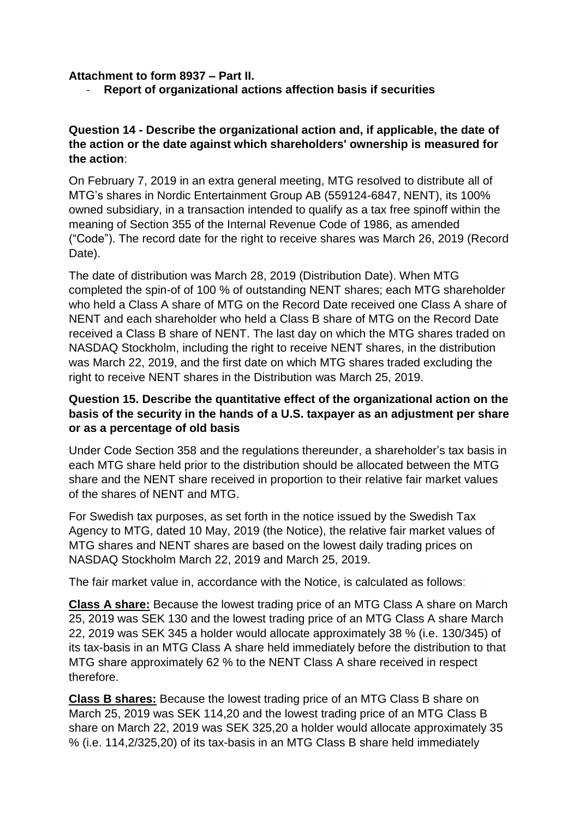**Attachment to form 8937 – Part II.**

- **Report of organizational actions affection basis if securities**

### **Question 14 - Describe the organizational action and, if applicable, the date of the action or the date against which shareholders' ownership is measured for the action**:

On February 7, 2019 in an extra general meeting, MTG resolved to distribute all of MTG's shares in Nordic Entertainment Group AB (559124-6847, NENT), its 100% owned subsidiary, in a transaction intended to qualify as a tax free spinoff within the meaning of Section 355 of the Internal Revenue Code of 1986, as amended ("Code"). The record date for the right to receive shares was March 26, 2019 (Record Date).

The date of distribution was March 28, 2019 (Distribution Date). When MTG completed the spin-of of 100 % of outstanding NENT shares; each MTG shareholder who held a Class A share of MTG on the Record Date received one Class A share of NENT and each shareholder who held a Class B share of MTG on the Record Date received a Class B share of NENT. The last day on which the MTG shares traded on NASDAQ Stockholm, including the right to receive NENT shares, in the distribution was March 22, 2019, and the first date on which MTG shares traded excluding the right to receive NENT shares in the Distribution was March 25, 2019.

# **Question 15. Describe the quantitative effect of the organizational action on the basis of the security in the hands of a U.S. taxpayer as an adjustment per share or as a percentage of old basis**

Under Code Section 358 and the regulations thereunder, a shareholder's tax basis in each MTG share held prior to the distribution should be allocated between the MTG share and the NENT share received in proportion to their relative fair market values of the shares of NENT and MTG.

For Swedish tax purposes, as set forth in the notice issued by the Swedish Tax Agency to MTG, dated 10 May, 2019 (the Notice), the relative fair market values of MTG shares and NENT shares are based on the lowest daily trading prices on NASDAQ Stockholm March 22, 2019 and March 25, 2019.

The fair market value in, accordance with the Notice, is calculated as follows:

**Class A share:** Because the lowest trading price of an MTG Class A share on March 25, 2019 was SEK 130 and the lowest trading price of an MTG Class A share March 22, 2019 was SEK 345 a holder would allocate approximately 38 % (i.e. 130/345) of its tax-basis in an MTG Class A share held immediately before the distribution to that MTG share approximately 62 % to the NENT Class A share received in respect therefore.

**Class B shares:** Because the lowest trading price of an MTG Class B share on March 25, 2019 was SEK 114,20 and the lowest trading price of an MTG Class B share on March 22, 2019 was SEK 325,20 a holder would allocate approximately 35 % (i.e. 114,2/325,20) of its tax-basis in an MTG Class B share held immediately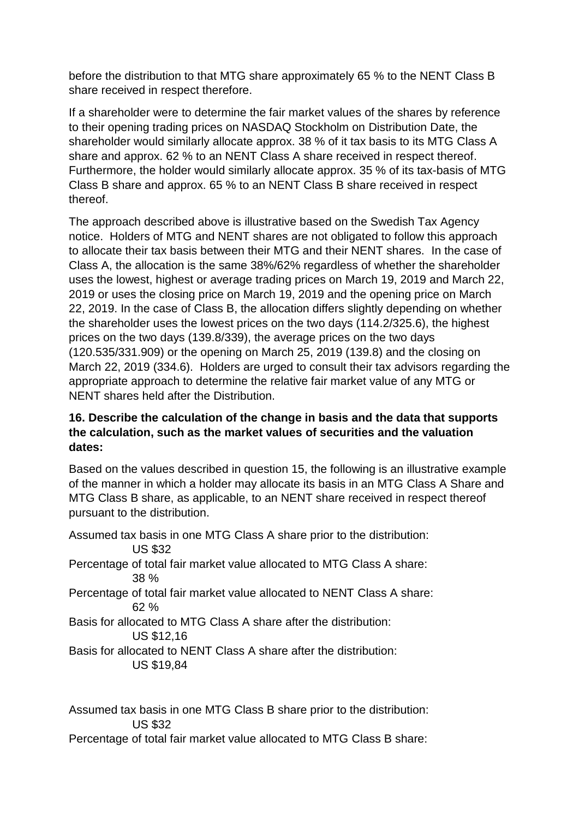before the distribution to that MTG share approximately 65 % to the NENT Class B share received in respect therefore.

If a shareholder were to determine the fair market values of the shares by reference to their opening trading prices on NASDAQ Stockholm on Distribution Date, the shareholder would similarly allocate approx. 38 % of it tax basis to its MTG Class A share and approx. 62 % to an NENT Class A share received in respect thereof. Furthermore, the holder would similarly allocate approx. 35 % of its tax-basis of MTG Class B share and approx. 65 % to an NENT Class B share received in respect thereof.

The approach described above is illustrative based on the Swedish Tax Agency notice. Holders of MTG and NENT shares are not obligated to follow this approach to allocate their tax basis between their MTG and their NENT shares. In the case of Class A, the allocation is the same 38%/62% regardless of whether the shareholder uses the lowest, highest or average trading prices on March 19, 2019 and March 22, 2019 or uses the closing price on March 19, 2019 and the opening price on March 22, 2019. In the case of Class B, the allocation differs slightly depending on whether the shareholder uses the lowest prices on the two days (114.2/325.6), the highest prices on the two days (139.8/339), the average prices on the two days (120.535/331.909) or the opening on March 25, 2019 (139.8) and the closing on March 22, 2019 (334.6). Holders are urged to consult their tax advisors regarding the appropriate approach to determine the relative fair market value of any MTG or NENT shares held after the Distribution.

# **16. Describe the calculation of the change in basis and the data that supports the calculation, such as the market values of securities and the valuation dates:**

Based on the values described in question 15, the following is an illustrative example of the manner in which a holder may allocate its basis in an MTG Class A Share and MTG Class B share, as applicable, to an NENT share received in respect thereof pursuant to the distribution.

Assumed tax basis in one MTG Class A share prior to the distribution: US \$32 Percentage of total fair market value allocated to MTG Class A share: 38 % Percentage of total fair market value allocated to NENT Class A share: 62 % Basis for allocated to MTG Class A share after the distribution: US \$12,16 Basis for allocated to NENT Class A share after the distribution: US \$19,84

Assumed tax basis in one MTG Class B share prior to the distribution: US \$32

Percentage of total fair market value allocated to MTG Class B share: